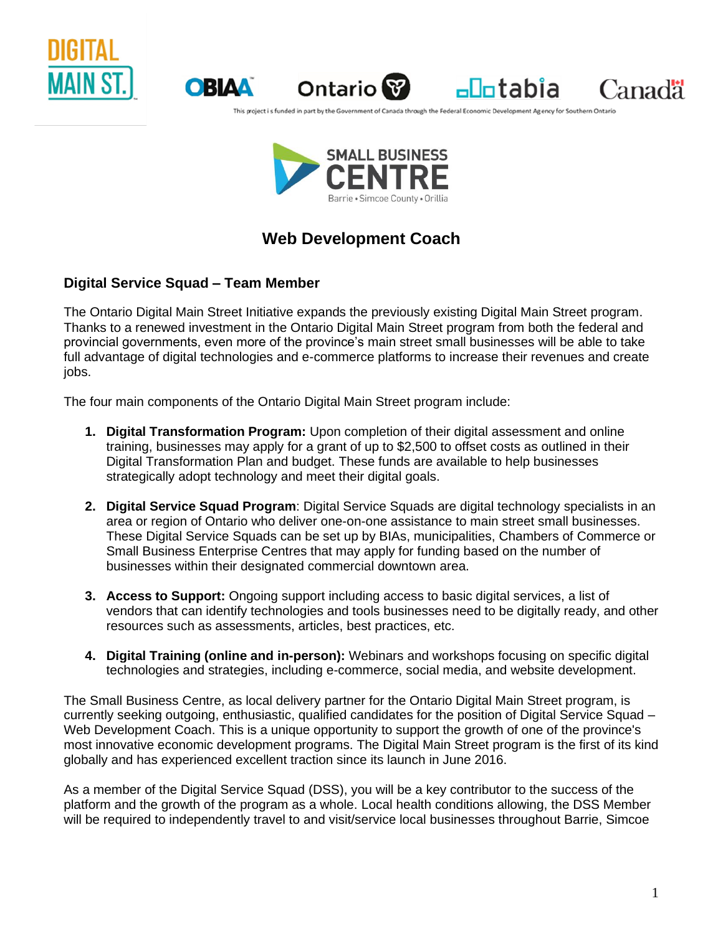





 $\n <sup>−</sup>$ 

Canadä

This project is funded in part by the Government of Canada through the Federal Economic Development Agency for Southern Ontar



# **Web Development Coach**

## **Digital Service Squad – Team Member**

The Ontario Digital Main Street Initiative expands the previously existing Digital Main Street program. Thanks to a renewed investment in the Ontario Digital Main Street program from both the federal and provincial governments, even more of the province's main street small businesses will be able to take full advantage of digital technologies and e-commerce platforms to increase their revenues and create jobs.

The four main components of the Ontario Digital Main Street program include:

- **1. Digital Transformation Program:** Upon completion of their digital assessment and online training, businesses may apply for a grant of up to \$2,500 to offset costs as outlined in their Digital Transformation Plan and budget. These funds are available to help businesses strategically adopt technology and meet their digital goals.
- **2. Digital Service Squad Program**: Digital Service Squads are digital technology specialists in an area or region of Ontario who deliver one-on-one assistance to main street small businesses. These Digital Service Squads can be set up by BIAs, municipalities, Chambers of Commerce or Small Business Enterprise Centres that may apply for funding based on the number of businesses within their designated commercial downtown area.
- **3. Access to Support:** Ongoing support including access to basic digital services, a list of vendors that can identify technologies and tools businesses need to be digitally ready, and other resources such as assessments, articles, best practices, etc.
- **4. Digital Training (online and in-person):** Webinars and workshops focusing on specific digital technologies and strategies, including e-commerce, social media, and website development.

The Small Business Centre, as local delivery partner for the Ontario Digital Main Street program, is currently seeking outgoing, enthusiastic, qualified candidates for the position of Digital Service Squad – Web Development Coach. This is a unique opportunity to support the growth of one of the province's most innovative economic development programs. The Digital Main Street program is the first of its kind globally and has experienced excellent traction since its launch in June 2016.

As a member of the Digital Service Squad (DSS), you will be a key contributor to the success of the platform and the growth of the program as a whole. Local health conditions allowing, the DSS Member will be required to independently travel to and visit/service local businesses throughout Barrie, Simcoe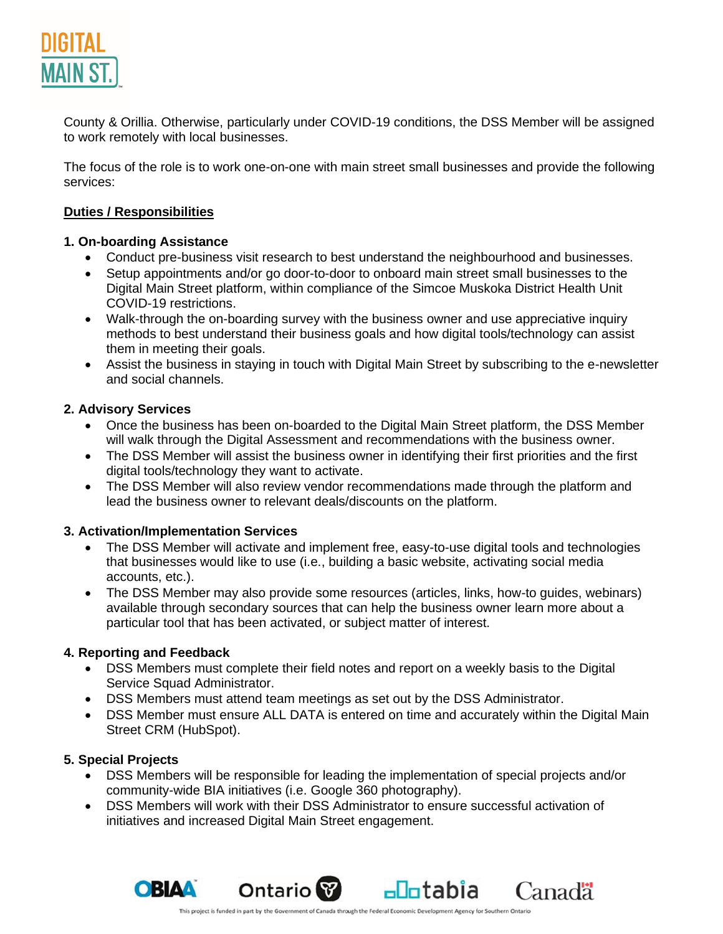

County & Orillia. Otherwise, particularly under COVID-19 conditions, the DSS Member will be assigned to work remotely with local businesses.

The focus of the role is to work one-on-one with main street small businesses and provide the following services:

#### **Duties / Responsibilities**

#### **1. On-boarding Assistance**

- Conduct pre-business visit research to best understand the neighbourhood and businesses.
- Setup appointments and/or go door-to-door to onboard main street small businesses to the Digital Main Street platform, within compliance of the Simcoe Muskoka District Health Unit COVID-19 restrictions.
- Walk-through the on-boarding survey with the business owner and use appreciative inquiry methods to best understand their business goals and how digital tools/technology can assist them in meeting their goals.
- Assist the business in staying in touch with Digital Main Street by subscribing to the e-newsletter and social channels.

#### **2. Advisory Services**

- Once the business has been on-boarded to the Digital Main Street platform, the DSS Member will walk through the Digital Assessment and recommendations with the business owner.
- The DSS Member will assist the business owner in identifying their first priorities and the first digital tools/technology they want to activate.
- The DSS Member will also review vendor recommendations made through the platform and lead the business owner to relevant deals/discounts on the platform.

#### **3. Activation/Implementation Services**

- The DSS Member will activate and implement free, easy-to-use digital tools and technologies that businesses would like to use (i.e., building a basic website, activating social media accounts, etc.).
- The DSS Member may also provide some resources (articles, links, how-to guides, webinars) available through secondary sources that can help the business owner learn more about a particular tool that has been activated, or subject matter of interest.

#### **4. Reporting and Feedback**

- DSS Members must complete their field notes and report on a weekly basis to the Digital Service Squad Administrator.
- DSS Members must attend team meetings as set out by the DSS Administrator.
- DSS Member must ensure ALL DATA is entered on time and accurately within the Digital Main Street CRM (HubSpot).

#### **5. Special Projects**

- DSS Members will be responsible for leading the implementation of special projects and/or community-wide BIA initiatives (i.e. Google 360 photography).
- DSS Members will work with their DSS Administrator to ensure successful activation of initiatives and increased Digital Main Street engagement.



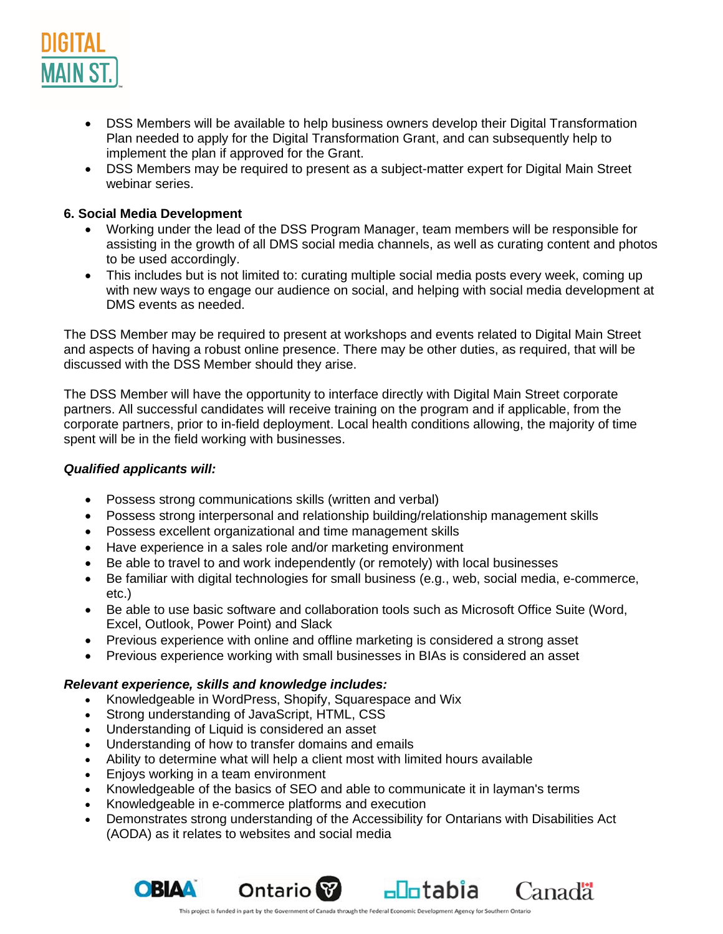

- DSS Members will be available to help business owners develop their Digital Transformation Plan needed to apply for the Digital Transformation Grant, and can subsequently help to implement the plan if approved for the Grant.
- DSS Members may be required to present as a subject-matter expert for Digital Main Street webinar series.

#### **6. Social Media Development**

- Working under the lead of the DSS Program Manager, team members will be responsible for assisting in the growth of all DMS social media channels, as well as curating content and photos to be used accordingly.
- This includes but is not limited to: curating multiple social media posts every week, coming up with new ways to engage our audience on social, and helping with social media development at DMS events as needed.

The DSS Member may be required to present at workshops and events related to Digital Main Street and aspects of having a robust online presence. There may be other duties, as required, that will be discussed with the DSS Member should they arise.

The DSS Member will have the opportunity to interface directly with Digital Main Street corporate partners. All successful candidates will receive training on the program and if applicable, from the corporate partners, prior to in-field deployment. Local health conditions allowing, the majority of time spent will be in the field working with businesses.

#### *Qualified applicants will:*

- Possess strong communications skills (written and verbal)
- Possess strong interpersonal and relationship building/relationship management skills
- Possess excellent organizational and time management skills
- Have experience in a sales role and/or marketing environment
- Be able to travel to and work independently (or remotely) with local businesses
- Be familiar with digital technologies for small business (e.g., web, social media, e-commerce, etc.)
- Be able to use basic software and collaboration tools such as Microsoft Office Suite (Word, Excel, Outlook, Power Point) and Slack
- Previous experience with online and offline marketing is considered a strong asset
- Previous experience working with small businesses in BIAs is considered an asset

#### *Relevant experience, skills and knowledge includes:*

- Knowledgeable in WordPress, Shopify, Squarespace and Wix
- Strong understanding of JavaScript, HTML, CSS
- Understanding of Liquid is considered an asset
- Understanding of how to transfer domains and emails
- Ability to determine what will help a client most with limited hours available
- Enjoys working in a team environment
- Knowledgeable of the basics of SEO and able to communicate it in layman's terms
- Knowledgeable in e-commerce platforms and execution
- Demonstrates strong understanding of the Accessibility for Ontarians with Disabilities Act (AODA) as it relates to websites and social media